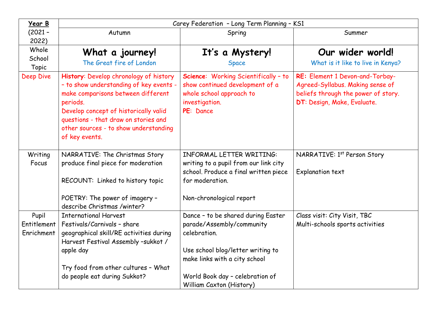| Year B      | Carey Federation - Long Term Planning - KS1                                                                                                                                                                                                                                     |                                                                                                                                    |                                                                                                                                           |  |  |  |
|-------------|---------------------------------------------------------------------------------------------------------------------------------------------------------------------------------------------------------------------------------------------------------------------------------|------------------------------------------------------------------------------------------------------------------------------------|-------------------------------------------------------------------------------------------------------------------------------------------|--|--|--|
| $(2021 -$   | Autumn                                                                                                                                                                                                                                                                          | Spring                                                                                                                             | Summer                                                                                                                                    |  |  |  |
| 2022)       |                                                                                                                                                                                                                                                                                 |                                                                                                                                    |                                                                                                                                           |  |  |  |
| Whole       | What a journey!                                                                                                                                                                                                                                                                 | It's a Mystery!                                                                                                                    | Our wider world!                                                                                                                          |  |  |  |
| School      | The Great fire of London                                                                                                                                                                                                                                                        | <b>Space</b>                                                                                                                       | What is it like to live in Kenya?                                                                                                         |  |  |  |
| Topic       |                                                                                                                                                                                                                                                                                 |                                                                                                                                    |                                                                                                                                           |  |  |  |
| Deep Dive   | History: Develop chronology of history<br>- to show understanding of key events -<br>make comparisons between different<br>periods.<br>Develop concept of historically valid<br>questions - that draw on stories and<br>other sources - to show understanding<br>of key events. | Science: Working Scientifically - to<br>show continued development of a<br>whole school approach to<br>investigation.<br>PE: Dance | RE: Element 1 Devon-and-Torbay-<br>Agreed-Syllabus. Making sense of<br>beliefs through the power of story.<br>DT: Design, Make, Evaluate. |  |  |  |
| Writing     | NARRATIVE: The Christmas Story                                                                                                                                                                                                                                                  | <b>INFORMAL LETTER WRITING:</b>                                                                                                    | NARRATIVE: 1st Person Story                                                                                                               |  |  |  |
| Focus       | produce final piece for moderation                                                                                                                                                                                                                                              | writing to a pupil from our link city                                                                                              |                                                                                                                                           |  |  |  |
|             |                                                                                                                                                                                                                                                                                 | school. Produce a final written piece                                                                                              | Explanation text                                                                                                                          |  |  |  |
|             | RECOUNT: Linked to history topic                                                                                                                                                                                                                                                | for moderation.                                                                                                                    |                                                                                                                                           |  |  |  |
|             | POETRY: The power of imagery -<br>describe Christmas /winter?                                                                                                                                                                                                                   | Non-chronological report                                                                                                           |                                                                                                                                           |  |  |  |
| Pupil       | <b>International Harvest</b>                                                                                                                                                                                                                                                    | Dance - to be shared during Easter                                                                                                 | Class visit: City Visit, TBC                                                                                                              |  |  |  |
| Entitlement | Festivals/Carnivals - share                                                                                                                                                                                                                                                     | parade/Assembly/community                                                                                                          | Multi-schools sports activities                                                                                                           |  |  |  |
| Enrichment  | geographical skill/RE activities during                                                                                                                                                                                                                                         | celebration.                                                                                                                       |                                                                                                                                           |  |  |  |
|             | Harvest Festival Assembly -sukkot /                                                                                                                                                                                                                                             |                                                                                                                                    |                                                                                                                                           |  |  |  |
|             | apple day                                                                                                                                                                                                                                                                       | Use school blog/letter writing to<br>make links with a city school                                                                 |                                                                                                                                           |  |  |  |
|             | Try food from other cultures - What                                                                                                                                                                                                                                             |                                                                                                                                    |                                                                                                                                           |  |  |  |
|             | do people eat during Sukkot?                                                                                                                                                                                                                                                    | World Book day - celebration of                                                                                                    |                                                                                                                                           |  |  |  |
|             |                                                                                                                                                                                                                                                                                 | William Caxton (History)                                                                                                           |                                                                                                                                           |  |  |  |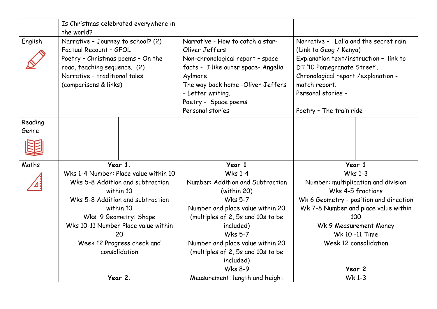|                  | the world?                                                                                                                                                                                  | Is Christmas celebrated everywhere in |                                                                                                                                                                                                                                                |                                                                                                                                                                                                                                                   |        |
|------------------|---------------------------------------------------------------------------------------------------------------------------------------------------------------------------------------------|---------------------------------------|------------------------------------------------------------------------------------------------------------------------------------------------------------------------------------------------------------------------------------------------|---------------------------------------------------------------------------------------------------------------------------------------------------------------------------------------------------------------------------------------------------|--------|
| English          | Narrative - Journey to school? (2)<br>Factual Recount - GFOL<br>Poetry - Christmas poems - On the<br>road, teaching sequence. (2)<br>Narrative - traditional tales<br>(comparisons & links) |                                       | Narrative - How to catch a star-<br>Oliver Jeffers<br>Non-chronological report - space<br>facts - I like outer space- Angelia<br>Aylmore<br>The way back home -Oliver Jeffers<br>- Letter writing.<br>Poetry - Space poems<br>Personal stories | Narrative - Lalia and the secret rain<br>(Link to Geog / Kenya)<br>Explanation text/instruction - link to<br>DT '10 Pomegranate Street'.<br>Chronological report /explanation -<br>match report.<br>Personal stories -<br>Poetry - The train ride |        |
| Reading<br>Genre |                                                                                                                                                                                             |                                       |                                                                                                                                                                                                                                                |                                                                                                                                                                                                                                                   |        |
|                  |                                                                                                                                                                                             |                                       |                                                                                                                                                                                                                                                |                                                                                                                                                                                                                                                   |        |
| Maths            |                                                                                                                                                                                             | Year 1.                               | Year 1                                                                                                                                                                                                                                         |                                                                                                                                                                                                                                                   | Year 1 |
|                  | Wks 1-4 Number: Place value within 10<br>Wks 5-8 Addition and subtraction<br>within 10<br>Wks 5-8 Addition and subtraction<br>within 10                                                     |                                       | <b>Wks 1-4</b><br>Number: Addition and Subtraction<br>(within 20)<br><b>Wks 5-7</b><br>Number and place value within 20                                                                                                                        | <b>Wks 1-3</b><br>Number: multiplication and division<br>Wks 4-5 fractions<br>Wk 6 Geometry - position and direction<br>Wk 7-8 Number and place value within                                                                                      |        |
|                  |                                                                                                                                                                                             |                                       |                                                                                                                                                                                                                                                |                                                                                                                                                                                                                                                   |        |
|                  | 20                                                                                                                                                                                          |                                       | <b>Wks 5-7</b>                                                                                                                                                                                                                                 | Wk 10 -11 Time                                                                                                                                                                                                                                    |        |
|                  |                                                                                                                                                                                             |                                       | Number and place value within 20                                                                                                                                                                                                               | Week 12 consolidation                                                                                                                                                                                                                             |        |
|                  | consolidation                                                                                                                                                                               |                                       | (multiples of 2, 5s and 10s to be<br>included)                                                                                                                                                                                                 |                                                                                                                                                                                                                                                   |        |
|                  |                                                                                                                                                                                             |                                       |                                                                                                                                                                                                                                                |                                                                                                                                                                                                                                                   |        |
|                  | Wks 9 Geometry: Shape<br>Wks 10-11 Number Place value within<br>Week 12 Progress check and<br>Year 2.                                                                                       |                                       | (multiples of 2, 5s and 10s to be<br>included)<br><b>Wks 8-9</b>                                                                                                                                                                               | 100<br>Wk 9 Measurement Money<br>Year 2<br>Wk 1-3                                                                                                                                                                                                 |        |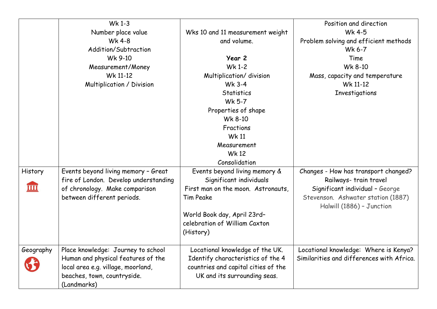|                         | Wk 1-3                                |                                     | Position and direction                    |
|-------------------------|---------------------------------------|-------------------------------------|-------------------------------------------|
|                         | Number place value                    | Wks 10 and 11 measurement weight    | Wk 4-5                                    |
|                         | <b>Wk 4-8</b>                         | and volume.                         | Problem solving and efficient methods     |
|                         | Addition/Subtraction                  |                                     | Wk 6-7                                    |
|                         | Wk 9-10                               | Year 2                              | Time                                      |
|                         | Measurement/Money                     | Wk 1-2                              | Wk 8-10                                   |
|                         | Wk 11-12                              | Multiplication/ division            | Mass, capacity and temperature            |
|                         | Multiplication / Division             | Wk 3-4                              | Wk 11-12                                  |
|                         |                                       | <b>Statistics</b>                   | Investigations                            |
|                         |                                       | Wk 5-7                              |                                           |
|                         |                                       | Properties of shape                 |                                           |
|                         |                                       | Wk 8-10                             |                                           |
|                         |                                       | Fractions                           |                                           |
|                         |                                       | <b>Wk 11</b>                        |                                           |
|                         |                                       | Measurement                         |                                           |
|                         |                                       | <b>Wk 12</b>                        |                                           |
|                         |                                       | Consolidation                       |                                           |
| History                 | Events beyond living memory - Great   | Events beyond living memory &       | Changes - How has transport changed?      |
|                         | fire of London. Develop understanding | Significant individuals             | Railways- train travel                    |
| $\overline{\text{III}}$ | of chronology. Make comparison        | First man on the moon. Astronauts,  | Significant individual - George           |
|                         | between different periods.            | <b>Tim Peake</b>                    | Stevenson. Ashwater station (1887)        |
|                         |                                       |                                     | Halwill (1886) - Junction                 |
|                         |                                       | World Book day, April 23rd-         |                                           |
|                         |                                       | celebration of William Caxton       |                                           |
|                         |                                       | (History)                           |                                           |
|                         |                                       |                                     |                                           |
| Geography               | Place knowledge: Journey to school    | Locational knowledge of the UK.     | Locational knowledge: Where is Kenya?     |
|                         | Human and physical features of the    | Identify characteristics of the 4   | Similarities and differences with Africa. |
|                         | local area e.g. village, moorland,    | countries and capital cities of the |                                           |
|                         | beaches, town, countryside.           | UK and its surrounding seas.        |                                           |
|                         | (Landmarks)                           |                                     |                                           |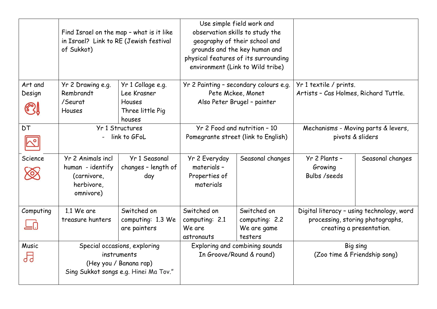|                            | Find Israel on the map - what is it like<br>in Israel? Link to RE (Jewish festival<br>of Sukkot) |                                             | Use simple field work and<br>observation skills to study the<br>geography of their school and<br>grounds and the key human and<br>physical features of its surrounding<br>environment (Link to Wild tribe) |                              |                                                 |                                     |  |
|----------------------------|--------------------------------------------------------------------------------------------------|---------------------------------------------|------------------------------------------------------------------------------------------------------------------------------------------------------------------------------------------------------------|------------------------------|-------------------------------------------------|-------------------------------------|--|
| Art and                    | Yr 2 Drawing e.g.                                                                                | Yr 1 Collage e.g.                           | Yr 2 Painting - secondary colours e.g.                                                                                                                                                                     |                              | Yr 1 textile / prints.                          |                                     |  |
| Design                     | Rembrandt                                                                                        | Lee Krasner                                 | Pete Mckee, Monet                                                                                                                                                                                          |                              | Artists - Cas Holmes, Richard Tuttle.           |                                     |  |
|                            | /Seurat                                                                                          | Houses                                      | Also Peter Brugel - painter                                                                                                                                                                                |                              |                                                 |                                     |  |
| <b>631</b>                 | <b>Houses</b>                                                                                    | Three little Pig                            |                                                                                                                                                                                                            |                              |                                                 |                                     |  |
|                            |                                                                                                  | houses                                      |                                                                                                                                                                                                            |                              |                                                 |                                     |  |
| <b>DT</b>                  | Yr 1 Structures                                                                                  |                                             |                                                                                                                                                                                                            | Yr 2 Food and nutrition - 10 |                                                 | Mechanisms - Moving parts & levers, |  |
| $\mathcal{N}^{\mathsf{o}}$ | link to GFoL                                                                                     |                                             | Pomegrante street (link to English)                                                                                                                                                                        |                              | pivots & sliders                                |                                     |  |
| Science<br>$\bigotimes$    | Yr 2 Animals incl<br>human - identify<br>(carnivore,<br>herbivore,<br>omnivore)                  | Yr 1 Seasonal<br>changes - length of<br>day | Yr 2 Everyday<br>materials -<br>Properties of<br>materials                                                                                                                                                 | Seasonal changes             | Yr 2 Plants -<br>Growing<br><b>Bulbs /seeds</b> | Seasonal changes                    |  |
| Computing                  | 1.1 We are                                                                                       | Switched on                                 | Switched on                                                                                                                                                                                                | Switched on                  | Digital literacy - using technology, word       |                                     |  |
|                            | treasure hunters                                                                                 | computing: 1.3 We                           | computing: 2.1                                                                                                                                                                                             | computing: 2.2               |                                                 | processing, storing photographs,    |  |
|                            |                                                                                                  | are painters                                | We are                                                                                                                                                                                                     | We are game                  |                                                 | creating a presentation.            |  |
|                            |                                                                                                  |                                             | astronauts                                                                                                                                                                                                 | testers                      |                                                 |                                     |  |
| Music                      | Special occasions, exploring                                                                     |                                             | Exploring and combining sounds                                                                                                                                                                             |                              | Big sing                                        |                                     |  |
| ᄓ                          | instruments                                                                                      |                                             | In Groove/Round & round)                                                                                                                                                                                   |                              |                                                 | (Zoo time & Friendship song)        |  |
|                            |                                                                                                  | (Hey you / Banana rap)                      |                                                                                                                                                                                                            |                              |                                                 |                                     |  |
|                            |                                                                                                  | Sing Sukkot songs e.g. Hinei Ma Tov."       |                                                                                                                                                                                                            |                              |                                                 |                                     |  |